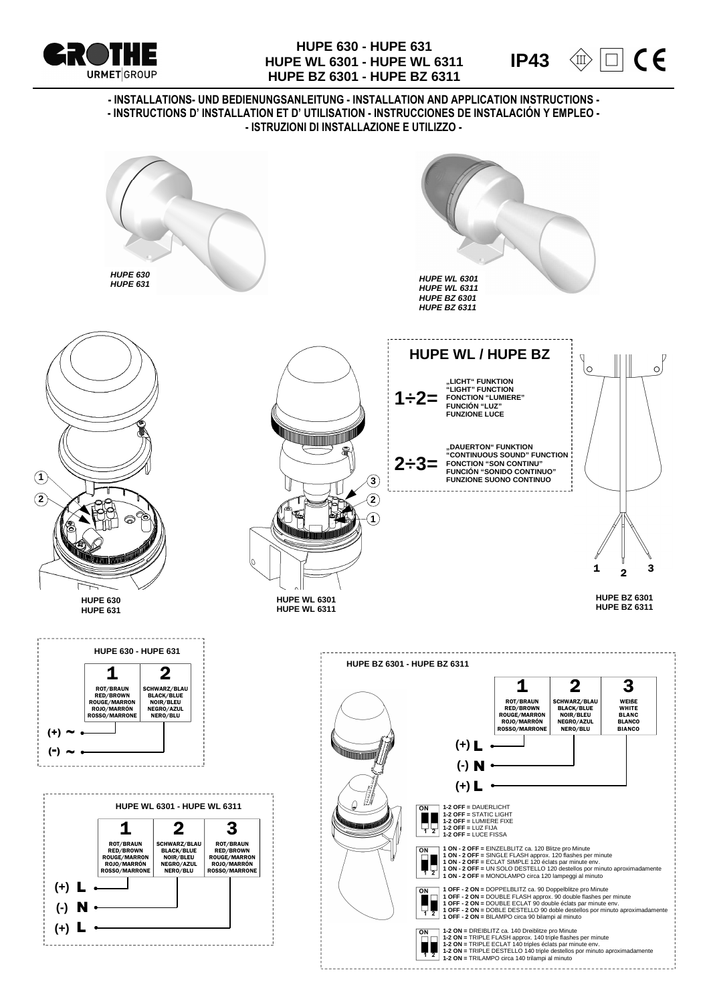

## **HUPE 630 - HUPE 631 HUPE WL 6301 - HUPE WL 6311 HUPE BZ 6301 - HUPE BZ 6311**



**- INSTALLATIONS- UND BEDIENUNGSANLEITUNG - INSTALLATION AND APPLICATION INSTRUCTIONS - - INSTRUCTIONS D' INSTALLATION ET D' UTILISATION - INSTRUCCIONES DE INSTALACIÓN Y EMPLEO - - ISTRUZIONI DI INSTALLAZIONE E UTILIZZO -**